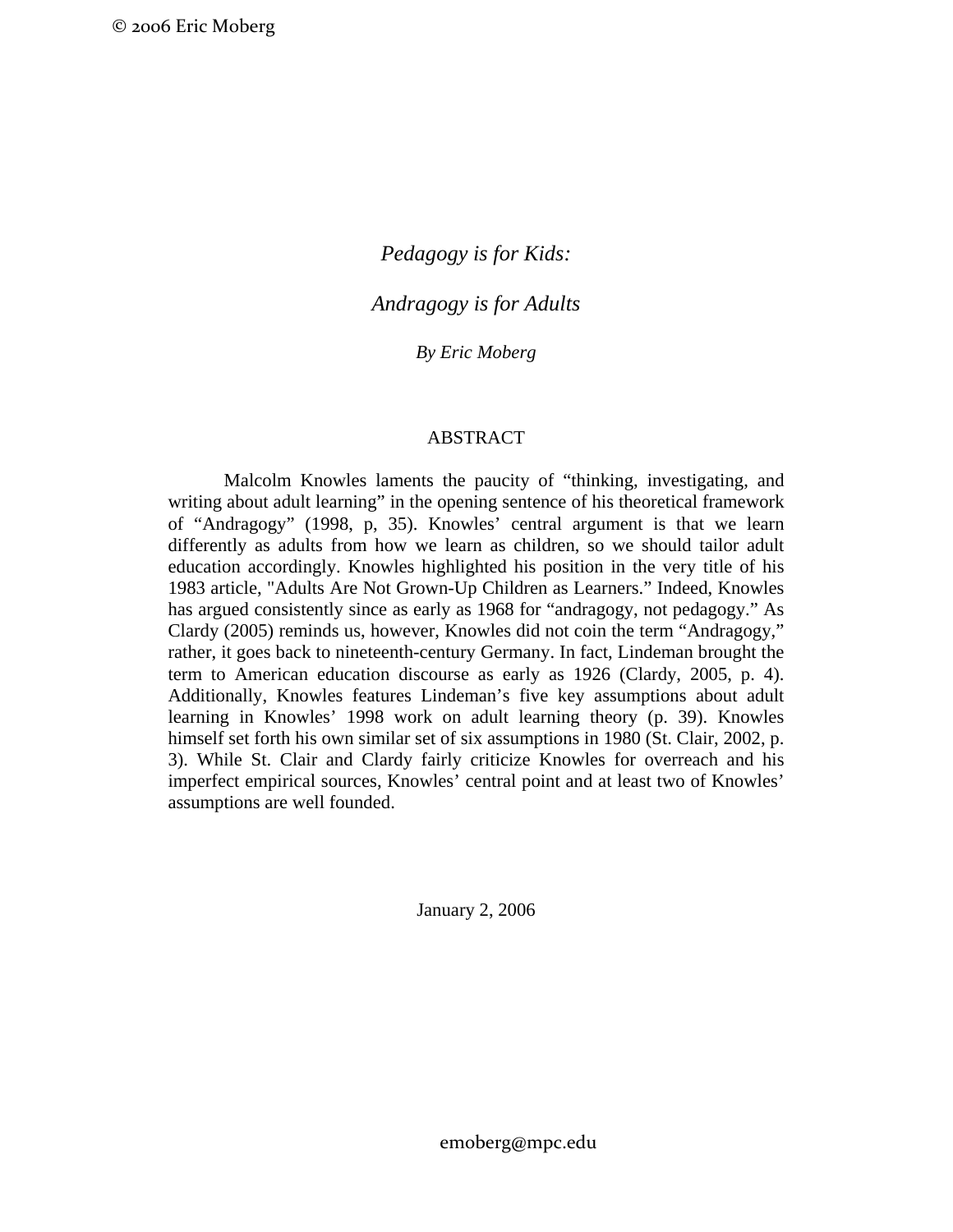*Pedagogy is for Kids:* 

*Andragogy is for Adults* 

*By Eric Moberg* 

# ABSTRACT

Malcolm Knowles laments the paucity of "thinking, investigating, and writing about adult learning" in the opening sentence of his theoretical framework of "Andragogy" (1998, p, 35). Knowles' central argument is that we learn differently as adults from how we learn as children, so we should tailor adult education accordingly. Knowles highlighted his position in the very title of his 1983 article, "Adults Are Not Grown-Up Children as Learners." Indeed, Knowles has argued consistently since as early as 1968 for "andragogy, not pedagogy." As Clardy (2005) reminds us, however, Knowles did not coin the term "Andragogy," rather, it goes back to nineteenth-century Germany. In fact, Lindeman brought the term to American education discourse as early as 1926 (Clardy, 2005, p. 4). Additionally, Knowles features Lindeman's five key assumptions about adult learning in Knowles' 1998 work on adult learning theory (p. 39). Knowles himself set forth his own similar set of six assumptions in 1980 (St. Clair, 2002, p. 3). While St. Clair and Clardy fairly criticize Knowles for overreach and his imperfect empirical sources, Knowles' central point and at least two of Knowles' assumptions are well founded.

January 2, 2006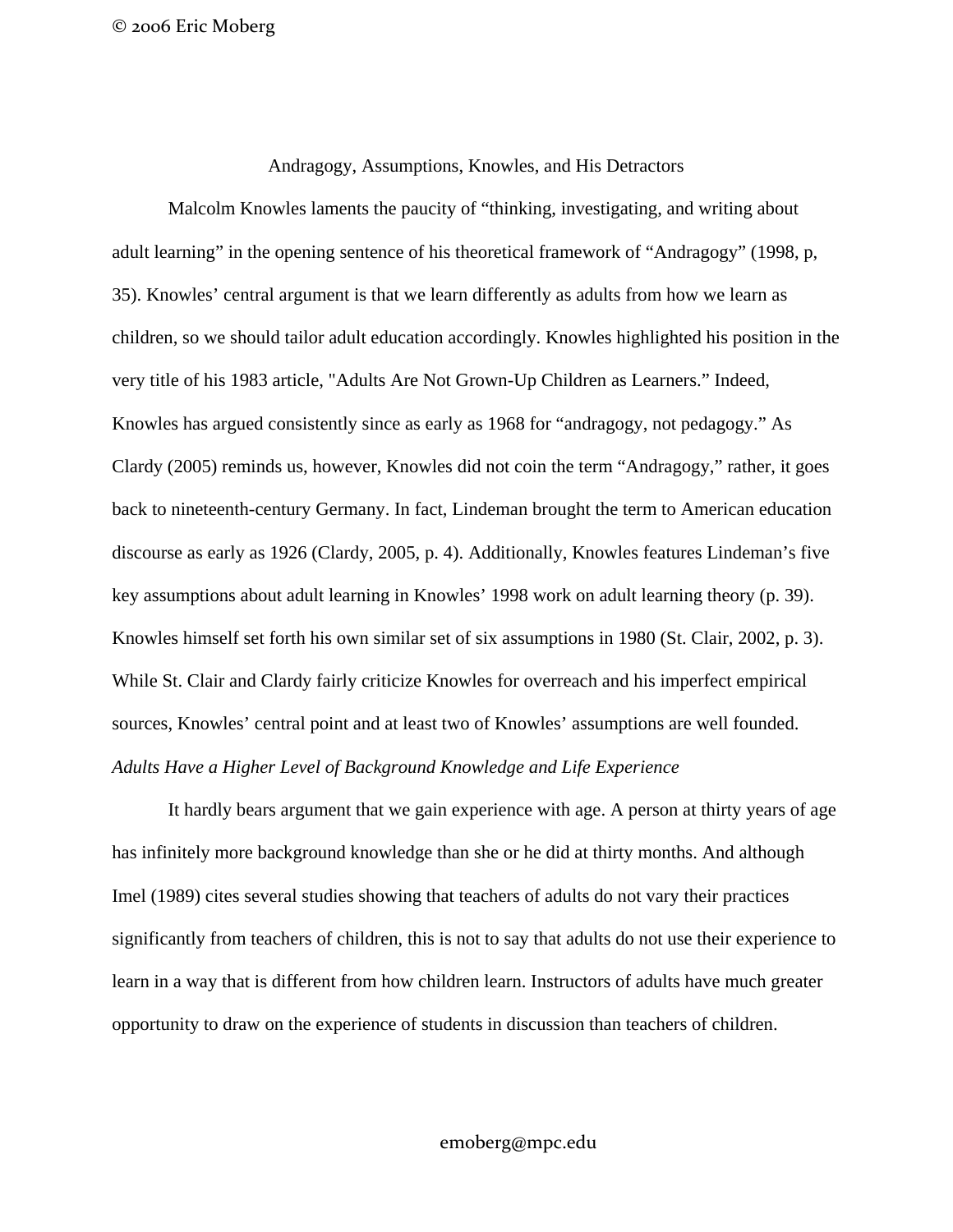Andragogy, Assumptions, Knowles, and His Detractors

Malcolm Knowles laments the paucity of "thinking, investigating, and writing about adult learning" in the opening sentence of his theoretical framework of "Andragogy" (1998, p, 35). Knowles' central argument is that we learn differently as adults from how we learn as children, so we should tailor adult education accordingly. Knowles highlighted his position in the very title of his 1983 article, "Adults Are Not Grown-Up Children as Learners." Indeed, Knowles has argued consistently since as early as 1968 for "andragogy, not pedagogy." As Clardy (2005) reminds us, however, Knowles did not coin the term "Andragogy," rather, it goes back to nineteenth-century Germany. In fact, Lindeman brought the term to American education discourse as early as 1926 (Clardy, 2005, p. 4). Additionally, Knowles features Lindeman's five key assumptions about adult learning in Knowles' 1998 work on adult learning theory (p. 39). Knowles himself set forth his own similar set of six assumptions in 1980 (St. Clair, 2002, p. 3). While St. Clair and Clardy fairly criticize Knowles for overreach and his imperfect empirical sources, Knowles' central point and at least two of Knowles' assumptions are well founded. *Adults Have a Higher Level of Background Knowledge and Life Experience* 

It hardly bears argument that we gain experience with age. A person at thirty years of age has infinitely more background knowledge than she or he did at thirty months. And although Imel (1989) cites several studies showing that teachers of adults do not vary their practices significantly from teachers of children, this is not to say that adults do not use their experience to learn in a way that is different from how children learn. Instructors of adults have much greater opportunity to draw on the experience of students in discussion than teachers of children.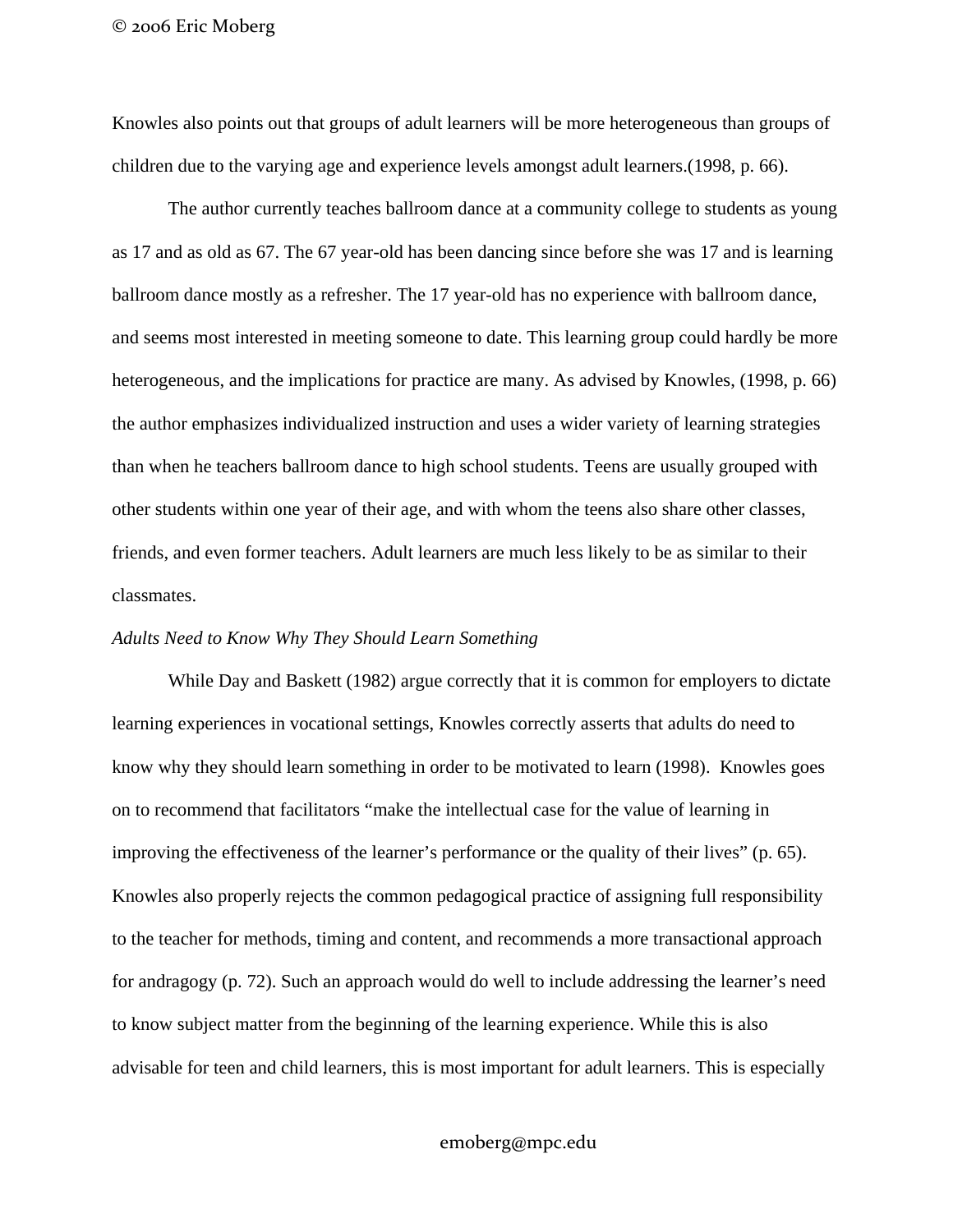© 2006 Eric Moberg

Knowles also points out that groups of adult learners will be more heterogeneous than groups of children due to the varying age and experience levels amongst adult learners.(1998, p. 66).

The author currently teaches ballroom dance at a community college to students as young as 17 and as old as 67. The 67 year-old has been dancing since before she was 17 and is learning ballroom dance mostly as a refresher. The 17 year-old has no experience with ballroom dance, and seems most interested in meeting someone to date. This learning group could hardly be more heterogeneous, and the implications for practice are many. As advised by Knowles, (1998, p. 66) the author emphasizes individualized instruction and uses a wider variety of learning strategies than when he teachers ballroom dance to high school students. Teens are usually grouped with other students within one year of their age, and with whom the teens also share other classes, friends, and even former teachers. Adult learners are much less likely to be as similar to their classmates.

# *Adults Need to Know Why They Should Learn Something*

While Day and Baskett (1982) argue correctly that it is common for employers to dictate learning experiences in vocational settings, Knowles correctly asserts that adults do need to know why they should learn something in order to be motivated to learn (1998). Knowles goes on to recommend that facilitators "make the intellectual case for the value of learning in improving the effectiveness of the learner's performance or the quality of their lives" (p. 65). Knowles also properly rejects the common pedagogical practice of assigning full responsibility to the teacher for methods, timing and content, and recommends a more transactional approach for andragogy (p. 72). Such an approach would do well to include addressing the learner's need to know subject matter from the beginning of the learning experience. While this is also advisable for teen and child learners, this is most important for adult learners. This is especially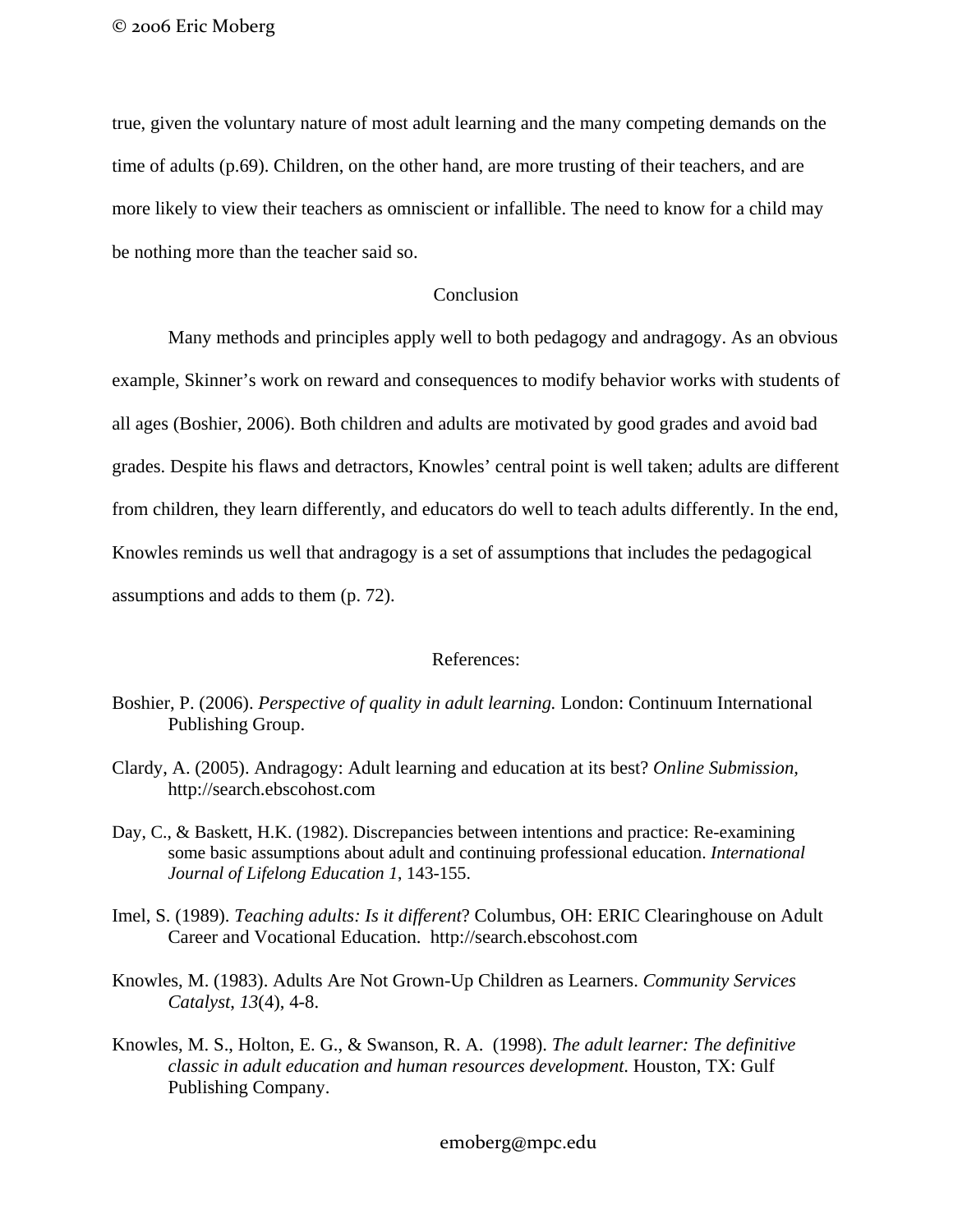true, given the voluntary nature of most adult learning and the many competing demands on the time of adults (p.69). Children, on the other hand, are more trusting of their teachers, and are more likely to view their teachers as omniscient or infallible. The need to know for a child may be nothing more than the teacher said so.

# **Conclusion**

Many methods and principles apply well to both pedagogy and andragogy. As an obvious example, Skinner's work on reward and consequences to modify behavior works with students of all ages (Boshier, 2006). Both children and adults are motivated by good grades and avoid bad grades. Despite his flaws and detractors, Knowles' central point is well taken; adults are different from children, they learn differently, and educators do well to teach adults differently. In the end, Knowles reminds us well that andragogy is a set of assumptions that includes the pedagogical assumptions and adds to them (p. 72).

#### References:

Boshier, P. (2006). *Perspective of quality in adult learning.* London: Continuum International Publishing Group.

- Clardy, A. (2005). Andragogy: Adult learning and education at its best? *Online Submission,* http://search.ebscohost.com
- Day, C., & Baskett, H.K. (1982). Discrepancies between intentions and practice: Re-examining some basic assumptions about adult and continuing professional education. *International Journal of Lifelong Education 1*, 143-155.
- Imel, S. (1989). *Teaching adults: Is it different*? Columbus, OH: ERIC Clearinghouse on Adult Career and Vocational Education. http://search.ebscohost.com
- Knowles, M. (1983). Adults Are Not Grown-Up Children as Learners. *Community Services Catalyst*, *13*(4), 4-8.
- Knowles, M. S., Holton, E. G., & Swanson, R. A. (1998). *The adult learner: The definitive classic in adult education and human resources development*. Houston, TX: Gulf Publishing Company.